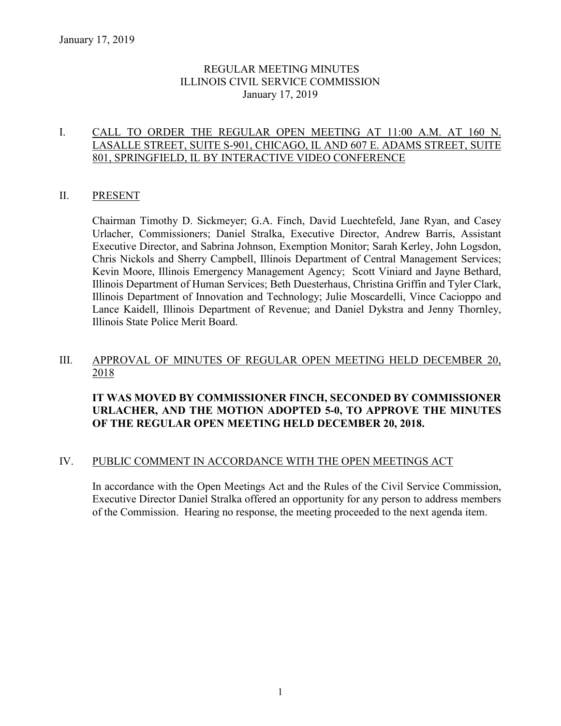## REGULAR MEETING MINUTES ILLINOIS CIVIL SERVICE COMMISSION January 17, 2019

### I. CALL TO ORDER THE REGULAR OPEN MEETING AT 11:00 A.M. AT 160 N. LASALLE STREET, SUITE S-901, CHICAGO, IL AND 607 E. ADAMS STREET, SUITE 801, SPRINGFIELD, IL BY INTERACTIVE VIDEO CONFERENCE

### II. PRESENT

Chairman Timothy D. Sickmeyer; G.A. Finch, David Luechtefeld, Jane Ryan, and Casey Urlacher, Commissioners; Daniel Stralka, Executive Director, Andrew Barris, Assistant Executive Director, and Sabrina Johnson, Exemption Monitor; Sarah Kerley, John Logsdon, Chris Nickols and Sherry Campbell, Illinois Department of Central Management Services; Kevin Moore, Illinois Emergency Management Agency; Scott Viniard and Jayne Bethard, Illinois Department of Human Services; Beth Duesterhaus, Christina Griffin and Tyler Clark, Illinois Department of Innovation and Technology; Julie Moscardelli, Vince Cacioppo and Lance Kaidell, Illinois Department of Revenue; and Daniel Dykstra and Jenny Thornley, Illinois State Police Merit Board.

#### III. APPROVAL OF MINUTES OF REGULAR OPEN MEETING HELD DECEMBER 20, 2018

## **IT WAS MOVED BY COMMISSIONER FINCH, SECONDED BY COMMISSIONER URLACHER, AND THE MOTION ADOPTED 5-0, TO APPROVE THE MINUTES OF THE REGULAR OPEN MEETING HELD DECEMBER 20, 2018.**

## IV. PUBLIC COMMENT IN ACCORDANCE WITH THE OPEN MEETINGS ACT

In accordance with the Open Meetings Act and the Rules of the Civil Service Commission, Executive Director Daniel Stralka offered an opportunity for any person to address members of the Commission. Hearing no response, the meeting proceeded to the next agenda item.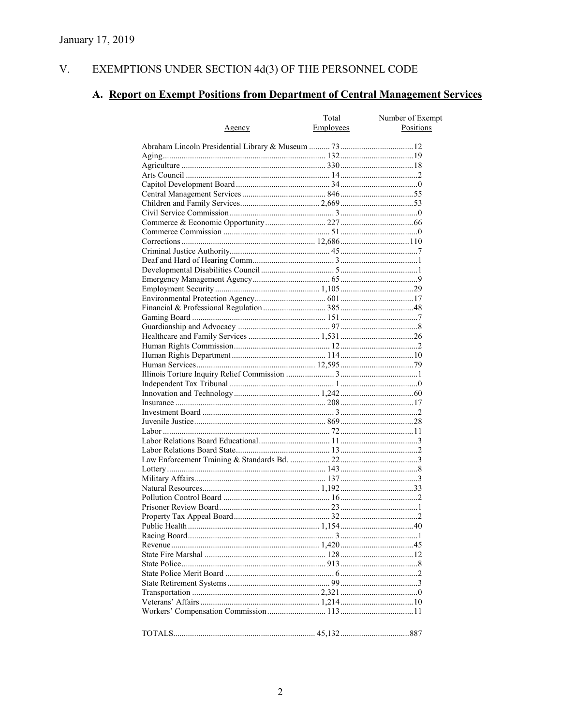#### V. EXEMPTIONS UNDER SECTION  $4d(3)$  OF THE PERSONNEL CODE

# A. Report on Exempt Positions from Department of Central Management Services

|               | Total     | Number of Exempt |
|---------------|-----------|------------------|
| <u>Agency</u> | Employees | Positions        |
|               |           |                  |
|               |           |                  |
|               |           |                  |
|               |           |                  |
|               |           |                  |
|               |           |                  |
|               |           |                  |
|               |           |                  |
|               |           |                  |
|               |           |                  |
|               |           |                  |
|               |           |                  |
|               |           |                  |
|               |           |                  |
|               |           |                  |
|               |           |                  |
|               |           |                  |
|               |           |                  |
|               |           |                  |
|               |           |                  |
|               |           |                  |
|               |           |                  |
|               |           |                  |
|               |           |                  |
|               |           |                  |
|               |           |                  |
|               |           |                  |
|               |           |                  |
|               |           |                  |
|               |           |                  |
|               |           |                  |
|               |           |                  |
|               |           |                  |
|               |           |                  |
|               |           |                  |
|               |           |                  |
|               |           |                  |
|               |           |                  |
|               |           |                  |
|               |           |                  |
|               |           |                  |
|               |           |                  |
|               |           |                  |
|               |           |                  |
|               |           |                  |
|               |           |                  |
|               |           |                  |
|               |           |                  |
|               |           |                  |
|               |           |                  |
|               |           |                  |
|               |           |                  |
|               |           |                  |
|               |           |                  |
|               |           |                  |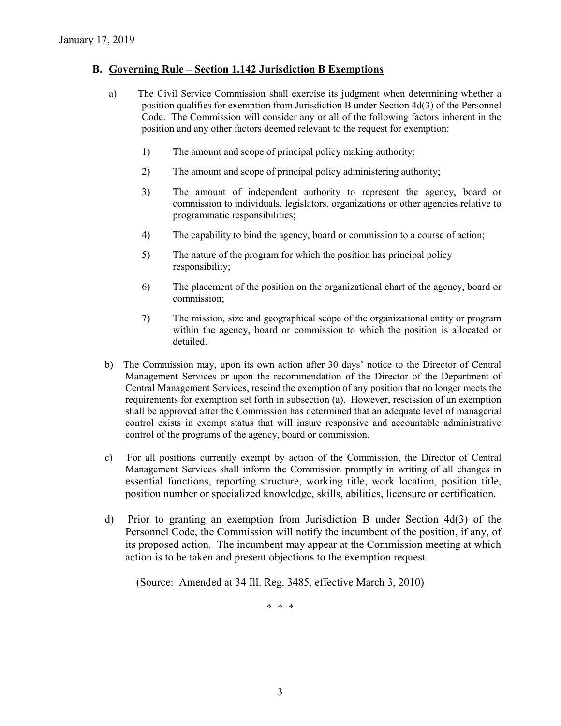### **B. Governing Rule – Section 1.142 Jurisdiction B Exemptions**

- a) The Civil Service Commission shall exercise its judgment when determining whether a position qualifies for exemption from Jurisdiction B under Section 4d(3) of the Personnel Code. The Commission will consider any or all of the following factors inherent in the position and any other factors deemed relevant to the request for exemption:
	- 1) The amount and scope of principal policy making authority;
	- 2) The amount and scope of principal policy administering authority;
	- 3) The amount of independent authority to represent the agency, board or commission to individuals, legislators, organizations or other agencies relative to programmatic responsibilities;
	- 4) The capability to bind the agency, board or commission to a course of action;
	- 5) The nature of the program for which the position has principal policy responsibility;
	- 6) The placement of the position on the organizational chart of the agency, board or commission;
	- 7) The mission, size and geographical scope of the organizational entity or program within the agency, board or commission to which the position is allocated or detailed.
- b) The Commission may, upon its own action after 30 days' notice to the Director of Central Management Services or upon the recommendation of the Director of the Department of Central Management Services, rescind the exemption of any position that no longer meets the requirements for exemption set forth in subsection (a). However, rescission of an exemption shall be approved after the Commission has determined that an adequate level of managerial control exists in exempt status that will insure responsive and accountable administrative control of the programs of the agency, board or commission.
- c) For all positions currently exempt by action of the Commission, the Director of Central Management Services shall inform the Commission promptly in writing of all changes in essential functions, reporting structure, working title, work location, position title, position number or specialized knowledge, skills, abilities, licensure or certification.
- d) Prior to granting an exemption from Jurisdiction B under Section 4d(3) of the Personnel Code, the Commission will notify the incumbent of the position, if any, of its proposed action. The incumbent may appear at the Commission meeting at which action is to be taken and present objections to the exemption request.

(Source: Amended at 34 Ill. Reg. 3485, effective March 3, 2010)

\* \* \*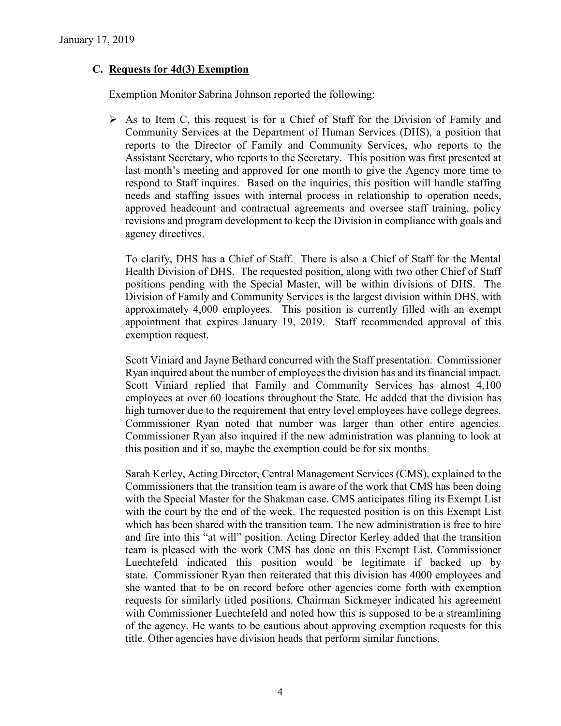## **C. Requests for 4d(3) Exemption**

Exemption Monitor Sabrina Johnson reported the following:

 $\triangleright$  As to Item C, this request is for a Chief of Staff for the Division of Family and Community Services at the Department of Human Services (DHS), a position that reports to the Director of Family and Community Services, who reports to the Assistant Secretary, who reports to the Secretary. This position was first presented at last month's meeting and approved for one month to give the Agency more time to respond to Staff inquires. Based on the inquiries, this position will handle staffing needs and staffing issues with internal process in relationship to operation needs, approved headcount and contractual agreements and oversee staff training, policy revisions and program development to keep the Division in compliance with goals and agency directives.

To clarify, DHS has a Chief of Staff. There is also a Chief of Staff for the Mental Health Division of DHS. The requested position, along with two other Chief of Staff positions pending with the Special Master, will be within divisions of DHS. The Division of Family and Community Services is the largest division within DHS, with approximately 4,000 employees. This position is currently filled with an exempt appointment that expires January 19, 2019. Staff recommended approval of this exemption request.

Scott Viniard and Jayne Bethard concurred with the Staff presentation. Commissioner Ryan inquired about the number of employees the division has and its financial impact. Scott Viniard replied that Family and Community Services has almost 4,100 employees at over 60 locations throughout the State. He added that the division has high turnover due to the requirement that entry level employees have college degrees. Commissioner Ryan noted that number was larger than other entire agencies. Commissioner Ryan also inquired if the new administration was planning to look at this position and if so, maybe the exemption could be for six months.

Sarah Kerley, Acting Director, Central Management Services (CMS), explained to the Commissioners that the transition team is aware of the work that CMS has been doing with the Special Master for the Shakman case. CMS anticipates filing its Exempt List with the court by the end of the week. The requested position is on this Exempt List which has been shared with the transition team. The new administration is free to hire and fire into this "at will" position. Acting Director Kerley added that the transition team is pleased with the work CMS has done on this Exempt List. Commissioner Luechtefeld indicated this position would be legitimate if backed up by state. Commissioner Ryan then reiterated that this division has 4000 employees and she wanted that to be on record before other agencies come forth with exemption requests for similarly titled positions. Chairman Sickmeyer indicated his agreement with Commissioner Luechtefeld and noted how this is supposed to be a streamlining of the agency. He wants to be cautious about approving exemption requests for this title. Other agencies have division heads that perform similar functions.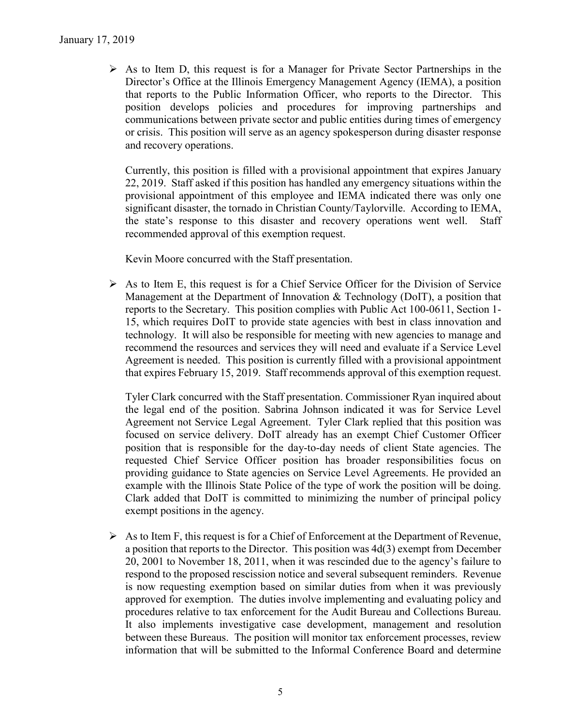$\triangleright$  As to Item D, this request is for a Manager for Private Sector Partnerships in the Director's Office at the Illinois Emergency Management Agency (IEMA), a position that reports to the Public Information Officer, who reports to the Director. This position develops policies and procedures for improving partnerships and communications between private sector and public entities during times of emergency or crisis. This position will serve as an agency spokesperson during disaster response and recovery operations.

Currently, this position is filled with a provisional appointment that expires January 22, 2019. Staff asked if this position has handled any emergency situations within the provisional appointment of this employee and IEMA indicated there was only one significant disaster, the tornado in Christian County/Taylorville. According to IEMA, the state's response to this disaster and recovery operations went well. Staff recommended approval of this exemption request.

Kevin Moore concurred with the Staff presentation.

 $\triangleright$  As to Item E, this request is for a Chief Service Officer for the Division of Service Management at the Department of Innovation & Technology (DoIT), a position that reports to the Secretary. This position complies with Public Act 100-0611, Section 1- 15, which requires DoIT to provide state agencies with best in class innovation and technology. It will also be responsible for meeting with new agencies to manage and recommend the resources and services they will need and evaluate if a Service Level Agreement is needed. This position is currently filled with a provisional appointment that expires February 15, 2019. Staff recommends approval of this exemption request.

Tyler Clark concurred with the Staff presentation. Commissioner Ryan inquired about the legal end of the position. Sabrina Johnson indicated it was for Service Level Agreement not Service Legal Agreement. Tyler Clark replied that this position was focused on service delivery. DoIT already has an exempt Chief Customer Officer position that is responsible for the day-to-day needs of client State agencies. The requested Chief Service Officer position has broader responsibilities focus on providing guidance to State agencies on Service Level Agreements. He provided an example with the Illinois State Police of the type of work the position will be doing. Clark added that DoIT is committed to minimizing the number of principal policy exempt positions in the agency.

 $\triangleright$  As to Item F, this request is for a Chief of Enforcement at the Department of Revenue, a position that reports to the Director. This position was 4d(3) exempt from December 20, 2001 to November 18, 2011, when it was rescinded due to the agency's failure to respond to the proposed rescission notice and several subsequent reminders. Revenue is now requesting exemption based on similar duties from when it was previously approved for exemption. The duties involve implementing and evaluating policy and procedures relative to tax enforcement for the Audit Bureau and Collections Bureau. It also implements investigative case development, management and resolution between these Bureaus. The position will monitor tax enforcement processes, review information that will be submitted to the Informal Conference Board and determine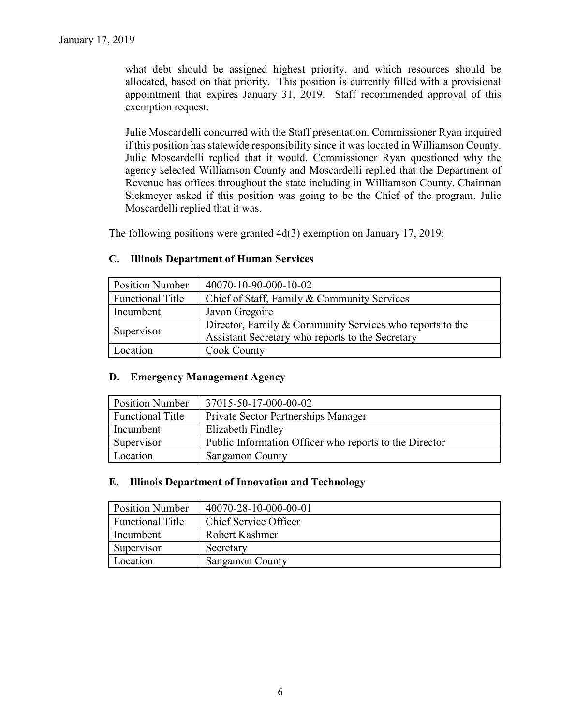what debt should be assigned highest priority, and which resources should be allocated, based on that priority. This position is currently filled with a provisional appointment that expires January 31, 2019. Staff recommended approval of this exemption request.

Julie Moscardelli concurred with the Staff presentation. Commissioner Ryan inquired if this position has statewide responsibility since it was located in Williamson County. Julie Moscardelli replied that it would. Commissioner Ryan questioned why the agency selected Williamson County and Moscardelli replied that the Department of Revenue has offices throughout the state including in Williamson County. Chairman Sickmeyer asked if this position was going to be the Chief of the program. Julie Moscardelli replied that it was.

The following positions were granted 4d(3) exemption on January 17, 2019:

| <b>Position Number</b>  | 40070-10-90-000-10-02                                    |
|-------------------------|----------------------------------------------------------|
| <b>Functional Title</b> | Chief of Staff, Family & Community Services              |
| Incumbent               | Javon Gregoire                                           |
| Supervisor              | Director, Family & Community Services who reports to the |
|                         | Assistant Secretary who reports to the Secretary         |
| <i>L</i> ocation        | <b>Cook County</b>                                       |

#### **C. Illinois Department of Human Services**

#### **D. Emergency Management Agency**

| <b>Position Number</b>  | 37015-50-17-000-00-02                                  |
|-------------------------|--------------------------------------------------------|
| <b>Functional Title</b> | Private Sector Partnerships Manager                    |
| Incumbent               | Elizabeth Findley                                      |
| Supervisor              | Public Information Officer who reports to the Director |
| Location                | <b>Sangamon County</b>                                 |

#### **E. Illinois Department of Innovation and Technology**

| <b>Position Number</b>  | 40070-28-10-000-00-01  |
|-------------------------|------------------------|
| <b>Functional Title</b> | Chief Service Officer  |
| Incumbent               | Robert Kashmer         |
| Supervisor              | Secretary              |
| Location                | <b>Sangamon County</b> |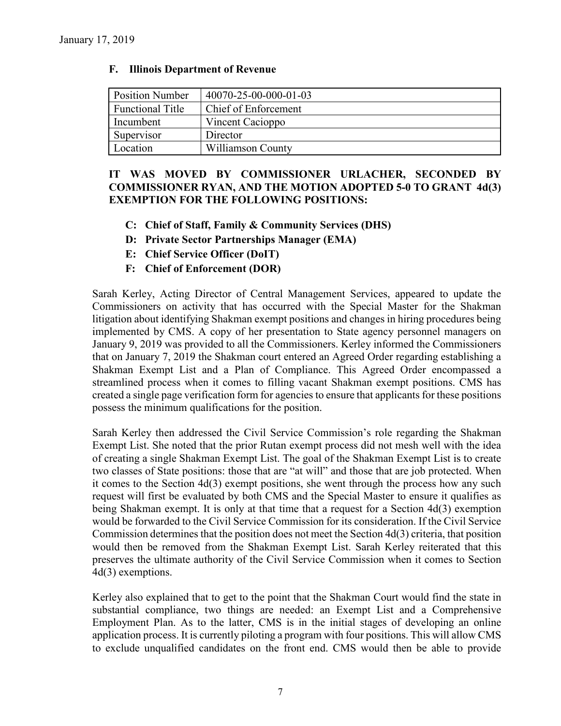| <b>Position Number</b>  | 40070-25-00-000-01-03 |
|-------------------------|-----------------------|
| <b>Functional Title</b> | Chief of Enforcement  |
| Incumbent               | Vincent Cacioppo      |
| Supervisor              | Director              |
| Location                | Williamson County     |

#### **F. Illinois Department of Revenue**

## **IT WAS MOVED BY COMMISSIONER URLACHER, SECONDED BY COMMISSIONER RYAN, AND THE MOTION ADOPTED 5-0 TO GRANT 4d(3) EXEMPTION FOR THE FOLLOWING POSITIONS:**

- **C: Chief of Staff, Family & Community Services (DHS)**
- **D: Private Sector Partnerships Manager (EMA)**
- **E: Chief Service Officer (DoIT)**
- **F: Chief of Enforcement (DOR)**

Sarah Kerley, Acting Director of Central Management Services, appeared to update the Commissioners on activity that has occurred with the Special Master for the Shakman litigation about identifying Shakman exempt positions and changes in hiring procedures being implemented by CMS. A copy of her presentation to State agency personnel managers on January 9, 2019 was provided to all the Commissioners. Kerley informed the Commissioners that on January 7, 2019 the Shakman court entered an Agreed Order regarding establishing a Shakman Exempt List and a Plan of Compliance. This Agreed Order encompassed a streamlined process when it comes to filling vacant Shakman exempt positions. CMS has created a single page verification form for agencies to ensure that applicants for these positions possess the minimum qualifications for the position.

Sarah Kerley then addressed the Civil Service Commission's role regarding the Shakman Exempt List. She noted that the prior Rutan exempt process did not mesh well with the idea of creating a single Shakman Exempt List. The goal of the Shakman Exempt List is to create two classes of State positions: those that are "at will" and those that are job protected. When it comes to the Section 4d(3) exempt positions, she went through the process how any such request will first be evaluated by both CMS and the Special Master to ensure it qualifies as being Shakman exempt. It is only at that time that a request for a Section 4d(3) exemption would be forwarded to the Civil Service Commission for its consideration. If the Civil Service Commission determines that the position does not meet the Section 4d(3) criteria, that position would then be removed from the Shakman Exempt List. Sarah Kerley reiterated that this preserves the ultimate authority of the Civil Service Commission when it comes to Section 4d(3) exemptions.

Kerley also explained that to get to the point that the Shakman Court would find the state in substantial compliance, two things are needed: an Exempt List and a Comprehensive Employment Plan. As to the latter, CMS is in the initial stages of developing an online application process. It is currently piloting a program with four positions. This will allow CMS to exclude unqualified candidates on the front end. CMS would then be able to provide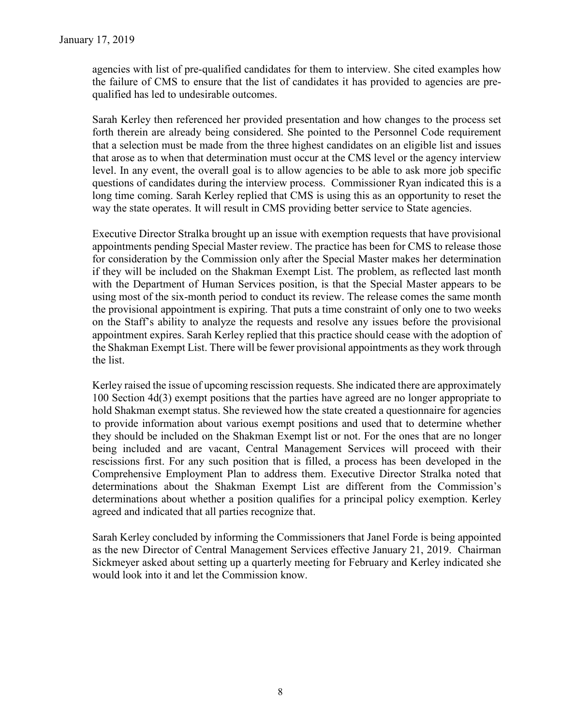agencies with list of pre-qualified candidates for them to interview. She cited examples how the failure of CMS to ensure that the list of candidates it has provided to agencies are prequalified has led to undesirable outcomes.

Sarah Kerley then referenced her provided presentation and how changes to the process set forth therein are already being considered. She pointed to the Personnel Code requirement that a selection must be made from the three highest candidates on an eligible list and issues that arose as to when that determination must occur at the CMS level or the agency interview level. In any event, the overall goal is to allow agencies to be able to ask more job specific questions of candidates during the interview process. Commissioner Ryan indicated this is a long time coming. Sarah Kerley replied that CMS is using this as an opportunity to reset the way the state operates. It will result in CMS providing better service to State agencies.

Executive Director Stralka brought up an issue with exemption requests that have provisional appointments pending Special Master review. The practice has been for CMS to release those for consideration by the Commission only after the Special Master makes her determination if they will be included on the Shakman Exempt List. The problem, as reflected last month with the Department of Human Services position, is that the Special Master appears to be using most of the six-month period to conduct its review. The release comes the same month the provisional appointment is expiring. That puts a time constraint of only one to two weeks on the Staff's ability to analyze the requests and resolve any issues before the provisional appointment expires. Sarah Kerley replied that this practice should cease with the adoption of the Shakman Exempt List. There will be fewer provisional appointments as they work through the list.

Kerley raised the issue of upcoming rescission requests. She indicated there are approximately 100 Section 4d(3) exempt positions that the parties have agreed are no longer appropriate to hold Shakman exempt status. She reviewed how the state created a questionnaire for agencies to provide information about various exempt positions and used that to determine whether they should be included on the Shakman Exempt list or not. For the ones that are no longer being included and are vacant, Central Management Services will proceed with their rescissions first. For any such position that is filled, a process has been developed in the Comprehensive Employment Plan to address them. Executive Director Stralka noted that determinations about the Shakman Exempt List are different from the Commission's determinations about whether a position qualifies for a principal policy exemption. Kerley agreed and indicated that all parties recognize that.

Sarah Kerley concluded by informing the Commissioners that Janel Forde is being appointed as the new Director of Central Management Services effective January 21, 2019. Chairman Sickmeyer asked about setting up a quarterly meeting for February and Kerley indicated she would look into it and let the Commission know.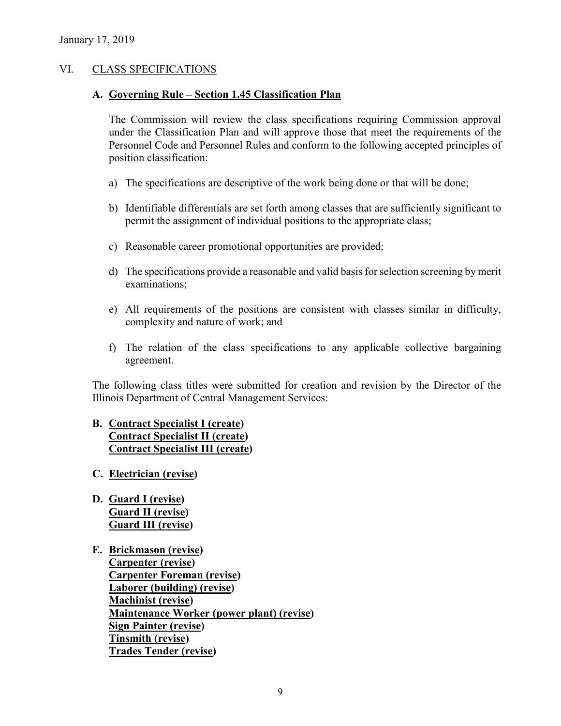## VI. CLASS SPECIFICATIONS

#### **A. Governing Rule – Section 1.45 Classification Plan**

The Commission will review the class specifications requiring Commission approval under the Classification Plan and will approve those that meet the requirements of the Personnel Code and Personnel Rules and conform to the following accepted principles of position classification:

- a) The specifications are descriptive of the work being done or that will be done;
- b) Identifiable differentials are set forth among classes that are sufficiently significant to permit the assignment of individual positions to the appropriate class;
- c) Reasonable career promotional opportunities are provided;
- d) The specifications provide a reasonable and valid basis for selection screening by merit examinations;
- e) All requirements of the positions are consistent with classes similar in difficulty, complexity and nature of work; and
- f) The relation of the class specifications to any applicable collective bargaining agreement.

The following class titles were submitted for creation and revision by the Director of the Illinois Department of Central Management Services:

## **B. Contract Specialist I (create) Contract Specialist II (create) Contract Specialist III (create)**

- **C. Electrician (revise)**
- **D. Guard I (revise) Guard II (revise) Guard III (revise)**
- **E. Brickmason (revise) Carpenter (revise) Carpenter Foreman (revise) Laborer (building) (revise) Machinist (revise) Maintenance Worker (power plant) (revise) Sign Painter (revise) Tinsmith (revise) Trades Tender (revise)**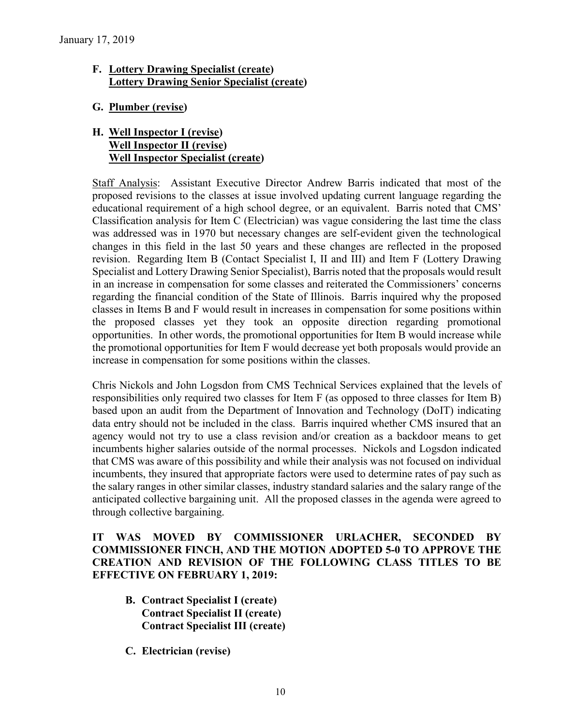## **F. Lottery Drawing Specialist (create) Lottery Drawing Senior Specialist (create)**

**G. Plumber (revise)**

## **H. Well Inspector I (revise) Well Inspector II (revise) Well Inspector Specialist (create)**

Staff Analysis: Assistant Executive Director Andrew Barris indicated that most of the proposed revisions to the classes at issue involved updating current language regarding the educational requirement of a high school degree, or an equivalent. Barris noted that CMS' Classification analysis for Item C (Electrician) was vague considering the last time the class was addressed was in 1970 but necessary changes are self-evident given the technological changes in this field in the last 50 years and these changes are reflected in the proposed revision. Regarding Item B (Contact Specialist I, II and III) and Item F (Lottery Drawing Specialist and Lottery Drawing Senior Specialist), Barris noted that the proposals would result in an increase in compensation for some classes and reiterated the Commissioners' concerns regarding the financial condition of the State of Illinois. Barris inquired why the proposed classes in Items B and F would result in increases in compensation for some positions within the proposed classes yet they took an opposite direction regarding promotional opportunities. In other words, the promotional opportunities for Item B would increase while the promotional opportunities for Item F would decrease yet both proposals would provide an increase in compensation for some positions within the classes.

Chris Nickols and John Logsdon from CMS Technical Services explained that the levels of responsibilities only required two classes for Item F (as opposed to three classes for Item B) based upon an audit from the Department of Innovation and Technology (DoIT) indicating data entry should not be included in the class. Barris inquired whether CMS insured that an agency would not try to use a class revision and/or creation as a backdoor means to get incumbents higher salaries outside of the normal processes. Nickols and Logsdon indicated that CMS was aware of this possibility and while their analysis was not focused on individual incumbents, they insured that appropriate factors were used to determine rates of pay such as the salary ranges in other similar classes, industry standard salaries and the salary range of the anticipated collective bargaining unit. All the proposed classes in the agenda were agreed to through collective bargaining.

## **IT WAS MOVED BY COMMISSIONER URLACHER, SECONDED BY COMMISSIONER FINCH, AND THE MOTION ADOPTED 5-0 TO APPROVE THE CREATION AND REVISION OF THE FOLLOWING CLASS TITLES TO BE EFFECTIVE ON FEBRUARY 1, 2019:**

- **B. Contract Specialist I (create) Contract Specialist II (create) Contract Specialist III (create)**
- **C. Electrician (revise)**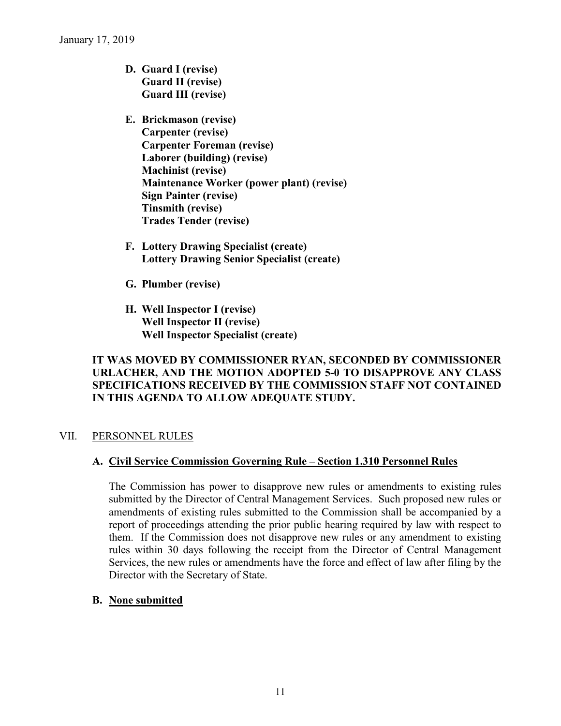- **D. Guard I (revise) Guard II (revise) Guard III (revise)**
- **E. Brickmason (revise) Carpenter (revise) Carpenter Foreman (revise) Laborer (building) (revise) Machinist (revise) Maintenance Worker (power plant) (revise) Sign Painter (revise) Tinsmith (revise) Trades Tender (revise)**
- **F. Lottery Drawing Specialist (create) Lottery Drawing Senior Specialist (create)**
- **G. Plumber (revise)**
- **H. Well Inspector I (revise) Well Inspector II (revise) Well Inspector Specialist (create)**

## **IT WAS MOVED BY COMMISSIONER RYAN, SECONDED BY COMMISSIONER URLACHER, AND THE MOTION ADOPTED 5-0 TO DISAPPROVE ANY CLASS SPECIFICATIONS RECEIVED BY THE COMMISSION STAFF NOT CONTAINED IN THIS AGENDA TO ALLOW ADEQUATE STUDY.**

## VII. PERSONNEL RULES

## **A. Civil Service Commission Governing Rule – Section 1.310 Personnel Rules**

The Commission has power to disapprove new rules or amendments to existing rules submitted by the Director of Central Management Services. Such proposed new rules or amendments of existing rules submitted to the Commission shall be accompanied by a report of proceedings attending the prior public hearing required by law with respect to them. If the Commission does not disapprove new rules or any amendment to existing rules within 30 days following the receipt from the Director of Central Management Services, the new rules or amendments have the force and effect of law after filing by the Director with the Secretary of State.

#### **B. None submitted**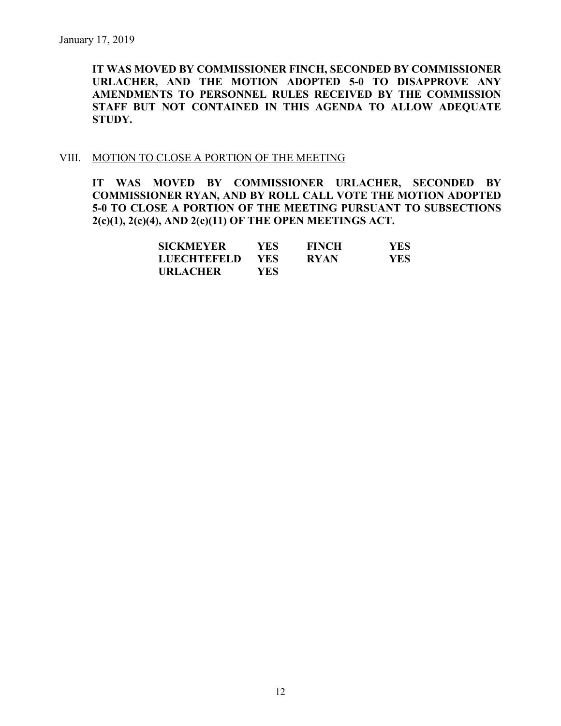**IT WAS MOVED BY COMMISSIONER FINCH, SECONDED BY COMMISSIONER URLACHER, AND THE MOTION ADOPTED 5-0 TO DISAPPROVE ANY AMENDMENTS TO PERSONNEL RULES RECEIVED BY THE COMMISSION STAFF BUT NOT CONTAINED IN THIS AGENDA TO ALLOW ADEQUATE STUDY.** 

#### VIII. MOTION TO CLOSE A PORTION OF THE MEETING

**IT WAS MOVED BY COMMISSIONER URLACHER, SECONDED BY COMMISSIONER RYAN, AND BY ROLL CALL VOTE THE MOTION ADOPTED 5-0 TO CLOSE A PORTION OF THE MEETING PURSUANT TO SUBSECTIONS 2(c)(1), 2(c)(4), AND 2(c)(11) OF THE OPEN MEETINGS ACT.**

| <b>SICKMEYER</b>   | YES.       | <b>FINCH</b> | YES |
|--------------------|------------|--------------|-----|
| <b>LUECHTEFELD</b> | <b>YES</b> | <b>RYAN</b>  | YES |
| <b>URLACHER</b>    | YES.       |              |     |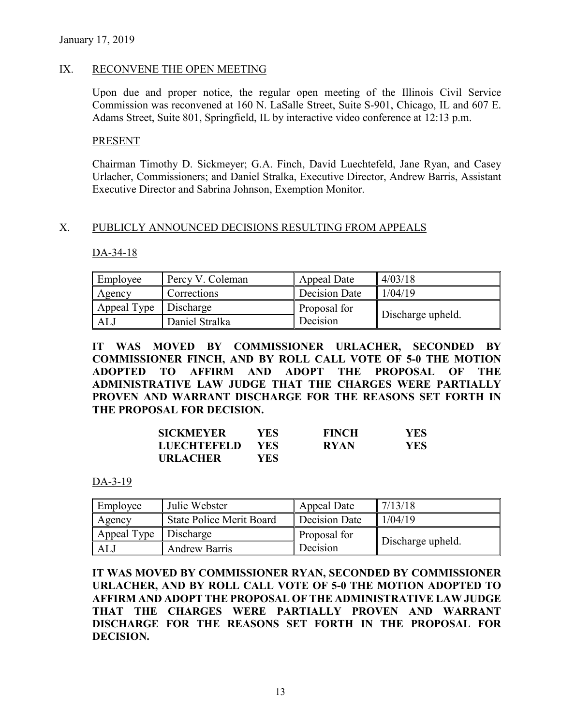#### IX. RECONVENE THE OPEN MEETING

Upon due and proper notice, the regular open meeting of the Illinois Civil Service Commission was reconvened at 160 N. LaSalle Street, Suite S-901, Chicago, IL and 607 E. Adams Street, Suite 801, Springfield, IL by interactive video conference at 12:13 p.m.

#### **PRESENT**

Chairman Timothy D. Sickmeyer; G.A. Finch, David Luechtefeld, Jane Ryan, and Casey Urlacher, Commissioners; and Daniel Stralka, Executive Director, Andrew Barris, Assistant Executive Director and Sabrina Johnson, Exemption Monitor.

#### X. PUBLICLY ANNOUNCED DECISIONS RESULTING FROM APPEALS

#### DA-34-18

| Employee    | Percy V. Coleman | Appeal Date   | 4/03/18           |
|-------------|------------------|---------------|-------------------|
| Agency      | Corrections      | Decision Date | 1/04/19           |
| Appeal Type | Discharge        | Proposal for  |                   |
| ALJ         | Daniel Stralka   | Decision      | Discharge upheld. |

**IT WAS MOVED BY COMMISSIONER URLACHER, SECONDED BY COMMISSIONER FINCH, AND BY ROLL CALL VOTE OF 5-0 THE MOTION ADOPTED TO AFFIRM AND ADOPT THE PROPOSAL OF THE ADMINISTRATIVE LAW JUDGE THAT THE CHARGES WERE PARTIALLY PROVEN AND WARRANT DISCHARGE FOR THE REASONS SET FORTH IN THE PROPOSAL FOR DECISION.**

| <b>SICKMEYER</b>   | YES  | <b>FINCH</b> | YES |
|--------------------|------|--------------|-----|
| <b>LUECHTEFELD</b> | YES. | <b>RYAN</b>  | YES |
| <b>URLACHER</b>    | YES  |              |     |

DA-3-19

| Employee    | Julie Webster                   | Appeal Date   | 7/13/18           |
|-------------|---------------------------------|---------------|-------------------|
| Agency      | <b>State Police Merit Board</b> | Decision Date | 1/04/19           |
| Appeal Type | Discharge                       | Proposal for  |                   |
| AL)         | <b>Andrew Barris</b>            | Decision      | Discharge upheld. |

**IT WAS MOVED BY COMMISSIONER RYAN, SECONDED BY COMMISSIONER URLACHER, AND BY ROLL CALL VOTE OF 5-0 THE MOTION ADOPTED TO AFFIRM AND ADOPT THE PROPOSAL OF THE ADMINISTRATIVE LAW JUDGE THAT THE CHARGES WERE PARTIALLY PROVEN AND WARRANT DISCHARGE FOR THE REASONS SET FORTH IN THE PROPOSAL FOR DECISION.**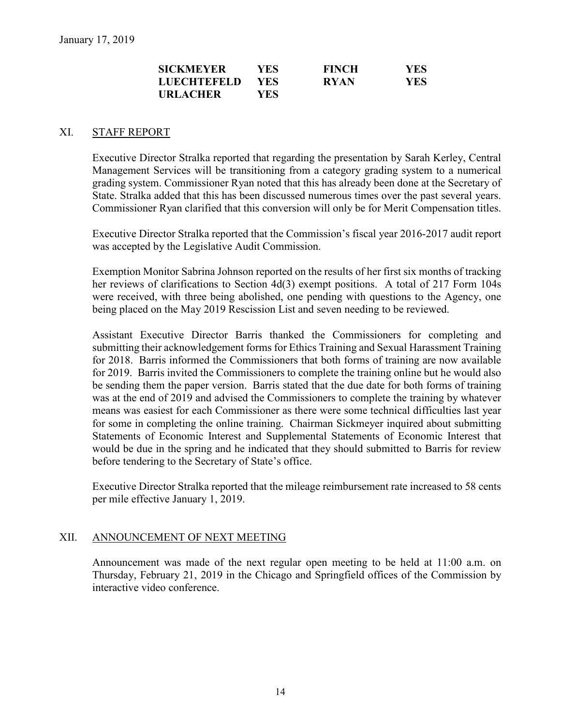| <b>SICKMEYER</b>   | YES  | <b>FINCH</b> | YES. |
|--------------------|------|--------------|------|
| <b>LUECHTEFELD</b> | YES. | <b>RYAN</b>  | YES. |
| <b>URLACHER</b>    | YES. |              |      |

#### XI. STAFF REPORT

Executive Director Stralka reported that regarding the presentation by Sarah Kerley, Central Management Services will be transitioning from a category grading system to a numerical grading system. Commissioner Ryan noted that this has already been done at the Secretary of State. Stralka added that this has been discussed numerous times over the past several years. Commissioner Ryan clarified that this conversion will only be for Merit Compensation titles.

Executive Director Stralka reported that the Commission's fiscal year 2016-2017 audit report was accepted by the Legislative Audit Commission.

Exemption Monitor Sabrina Johnson reported on the results of her first six months of tracking her reviews of clarifications to Section 4d(3) exempt positions. A total of 217 Form 104s were received, with three being abolished, one pending with questions to the Agency, one being placed on the May 2019 Rescission List and seven needing to be reviewed.

Assistant Executive Director Barris thanked the Commissioners for completing and submitting their acknowledgement forms for Ethics Training and Sexual Harassment Training for 2018. Barris informed the Commissioners that both forms of training are now available for 2019. Barris invited the Commissioners to complete the training online but he would also be sending them the paper version. Barris stated that the due date for both forms of training was at the end of 2019 and advised the Commissioners to complete the training by whatever means was easiest for each Commissioner as there were some technical difficulties last year for some in completing the online training. Chairman Sickmeyer inquired about submitting Statements of Economic Interest and Supplemental Statements of Economic Interest that would be due in the spring and he indicated that they should submitted to Barris for review before tendering to the Secretary of State's office.

Executive Director Stralka reported that the mileage reimbursement rate increased to 58 cents per mile effective January 1, 2019.

#### XII. ANNOUNCEMENT OF NEXT MEETING

Announcement was made of the next regular open meeting to be held at 11:00 a.m. on Thursday, February 21, 2019 in the Chicago and Springfield offices of the Commission by interactive video conference.